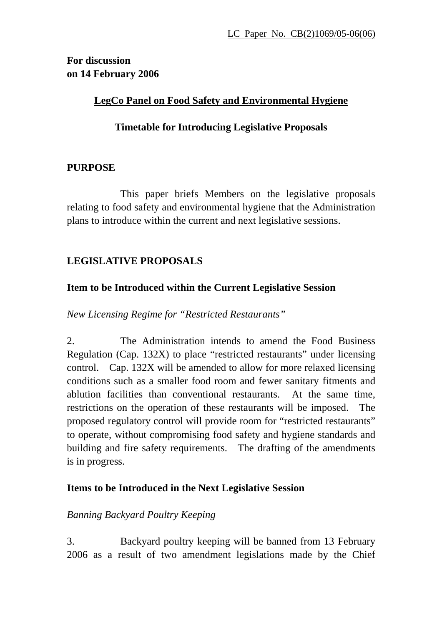**For discussion on 14 February 2006** 

### **LegCo Panel on Food Safety and Environmental Hygiene**

### **Timetable for Introducing Legislative Proposals**

### **PURPOSE**

 This paper briefs Members on the legislative proposals relating to food safety and environmental hygiene that the Administration plans to introduce within the current and next legislative sessions.

# **LEGISLATIVE PROPOSALS**

### **Item to be Introduced within the Current Legislative Session**

*New Licensing Regime for "Restricted Restaurants"* 

2. The Administration intends to amend the Food Business Regulation (Cap. 132X) to place "restricted restaurants" under licensing control. Cap. 132X will be amended to allow for more relaxed licensing conditions such as a smaller food room and fewer sanitary fitments and ablution facilities than conventional restaurants. At the same time, restrictions on the operation of these restaurants will be imposed. The proposed regulatory control will provide room for "restricted restaurants" to operate, without compromising food safety and hygiene standards and building and fire safety requirements. The drafting of the amendments is in progress.

### **Items to be Introduced in the Next Legislative Session**

### *Banning Backyard Poultry Keeping*

3. Backyard poultry keeping will be banned from 13 February 2006 as a result of two amendment legislations made by the Chief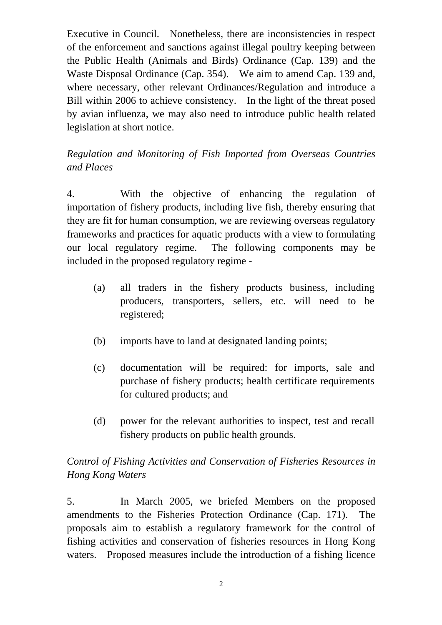Executive in Council. Nonetheless, there are inconsistencies in respect of the enforcement and sanctions against illegal poultry keeping between the Public Health (Animals and Birds) Ordinance (Cap. 139) and the Waste Disposal Ordinance (Cap. 354). We aim to amend Cap. 139 and, where necessary, other relevant Ordinances/Regulation and introduce a Bill within 2006 to achieve consistency. In the light of the threat posed by avian influenza, we may also need to introduce public health related legislation at short notice.

# *Regulation and Monitoring of Fish Imported from Overseas Countries and Places*

4. With the objective of enhancing the regulation of importation of fishery products, including live fish, thereby ensuring that they are fit for human consumption, we are reviewing overseas regulatory frameworks and practices for aquatic products with a view to formulating our local regulatory regime. The following components may be included in the proposed regulatory regime -

- (a) all traders in the fishery products business, including producers, transporters, sellers, etc. will need to be registered;
- (b) imports have to land at designated landing points;
- (c) documentation will be required: for imports, sale and purchase of fishery products; health certificate requirements for cultured products; and
- (d) power for the relevant authorities to inspect, test and recall fishery products on public health grounds.

# *Control of Fishing Activities and Conservation of Fisheries Resources in Hong Kong Waters*

5. In March 2005, we briefed Members on the proposed amendments to the Fisheries Protection Ordinance (Cap. 171). The proposals aim to establish a regulatory framework for the control of fishing activities and conservation of fisheries resources in Hong Kong waters. Proposed measures include the introduction of a fishing licence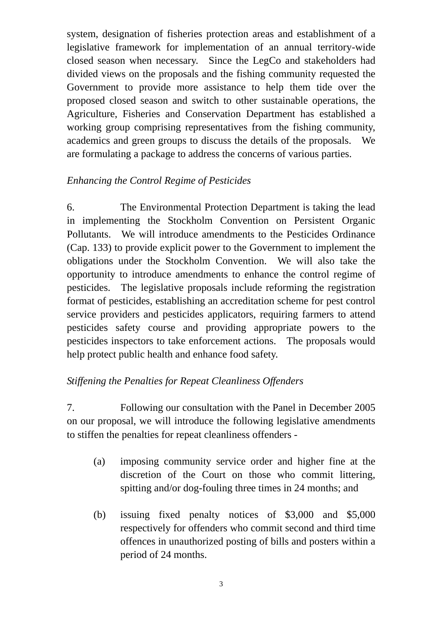system, designation of fisheries protection areas and establishment of a legislative framework for implementation of an annual territory-wide closed season when necessary. Since the LegCo and stakeholders had divided views on the proposals and the fishing community requested the Government to provide more assistance to help them tide over the proposed closed season and switch to other sustainable operations, the Agriculture, Fisheries and Conservation Department has established a working group comprising representatives from the fishing community, academics and green groups to discuss the details of the proposals. We are formulating a package to address the concerns of various parties.

### *Enhancing the Control Regime of Pesticides*

6. The Environmental Protection Department is taking the lead in implementing the Stockholm Convention on Persistent Organic Pollutants. We will introduce amendments to the Pesticides Ordinance (Cap. 133) to provide explicit power to the Government to implement the obligations under the Stockholm Convention. We will also take the opportunity to introduce amendments to enhance the control regime of pesticides. The legislative proposals include reforming the registration format of pesticides, establishing an accreditation scheme for pest control service providers and pesticides applicators, requiring farmers to attend pesticides safety course and providing appropriate powers to the pesticides inspectors to take enforcement actions. The proposals would help protect public health and enhance food safety.

# *Stiffening the Penalties for Repeat Cleanliness Offenders*

7. Following our consultation with the Panel in December 2005 on our proposal, we will introduce the following legislative amendments to stiffen the penalties for repeat cleanliness offenders -

- (a) imposing community service order and higher fine at the discretion of the Court on those who commit littering, spitting and/or dog-fouling three times in 24 months; and
- (b) issuing fixed penalty notices of \$3,000 and \$5,000 respectively for offenders who commit second and third time offences in unauthorized posting of bills and posters within a period of 24 months.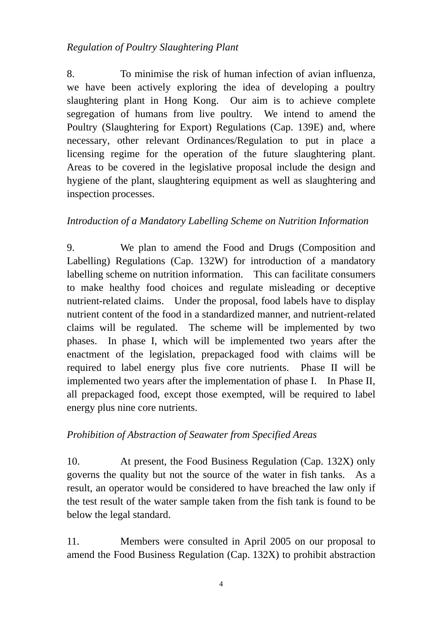### *Regulation of Poultry Slaughtering Plant*

8. To minimise the risk of human infection of avian influenza, we have been actively exploring the idea of developing a poultry slaughtering plant in Hong Kong. Our aim is to achieve complete segregation of humans from live poultry. We intend to amend the Poultry (Slaughtering for Export) Regulations (Cap. 139E) and, where necessary, other relevant Ordinances/Regulation to put in place a licensing regime for the operation of the future slaughtering plant. Areas to be covered in the legislative proposal include the design and hygiene of the plant, slaughtering equipment as well as slaughtering and inspection processes.

### *Introduction of a Mandatory Labelling Scheme on Nutrition Information*

9. We plan to amend the Food and Drugs (Composition and Labelling) Regulations (Cap. 132W) for introduction of a mandatory labelling scheme on nutrition information. This can facilitate consumers to make healthy food choices and regulate misleading or deceptive nutrient-related claims. Under the proposal, food labels have to display nutrient content of the food in a standardized manner, and nutrient-related claims will be regulated. The scheme will be implemented by two phases. In phase I, which will be implemented two years after the enactment of the legislation, prepackaged food with claims will be required to label energy plus five core nutrients. Phase II will be implemented two years after the implementation of phase I. In Phase II, all prepackaged food, except those exempted, will be required to label energy plus nine core nutrients.

#### *Prohibition of Abstraction of Seawater from Specified Areas*

10. At present, the Food Business Regulation (Cap. 132X) only governs the quality but not the source of the water in fish tanks. As a result, an operator would be considered to have breached the law only if the test result of the water sample taken from the fish tank is found to be below the legal standard.

11. Members were consulted in April 2005 on our proposal to amend the Food Business Regulation (Cap. 132X) to prohibit abstraction